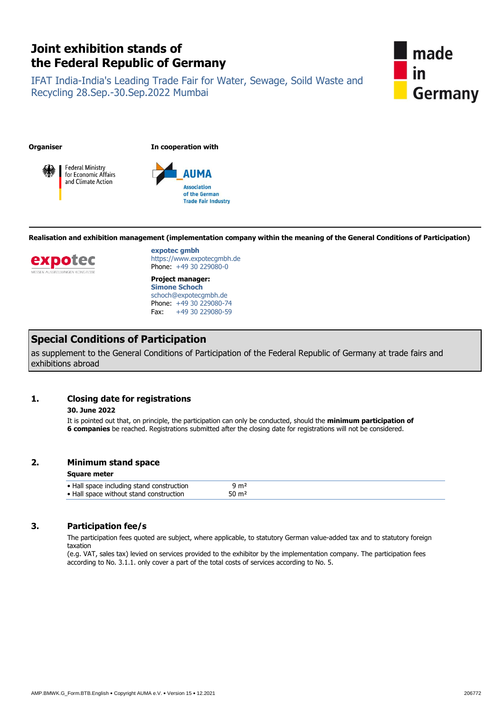# **Joint exhibition stands of the Federal Republic of Germany**

IFAT India-India's Leading Trade Fair for Water, Sewage, Soild Waste and Recycling 28.Sep.-30.Sep.2022 Mumbai



**Organiser In cooperation with**





**Realisation and exhibition management (implementation company within the meaning of the General Conditions of Participation)**



**expotec gmbh** https://www.expotecgmbh.de Phone: +49 30 229080-0

**Project manager: Simone Schoch** schoch@expotecgmbh.de Phone: +49 30 229080-74 Fax: +49 30 229080-59

## **Special Conditions of Participation**

as supplement to the General Conditions of Participation of the Federal Republic of Germany at trade fairs and exhibitions abroad

## **1. Closing date for registrations**

## **30. June 2022**

It is pointed out that, on principle, the participation can only be conducted, should the **minimum participation of 6 companies** be reached. Registrations submitted after the closing date for registrations will not be considered.

## **2. Minimum stand space**

## **Square meter**

## **3. Participation fee/s**

The participation fees quoted are subject, where applicable, to statutory German value-added tax and to statutory foreign taxation

(e.g. VAT, sales tax) levied on services provided to the exhibitor by the implementation company. The participation fees according to No. 3.1.1. only cover a part of the total costs of services according to No. 5.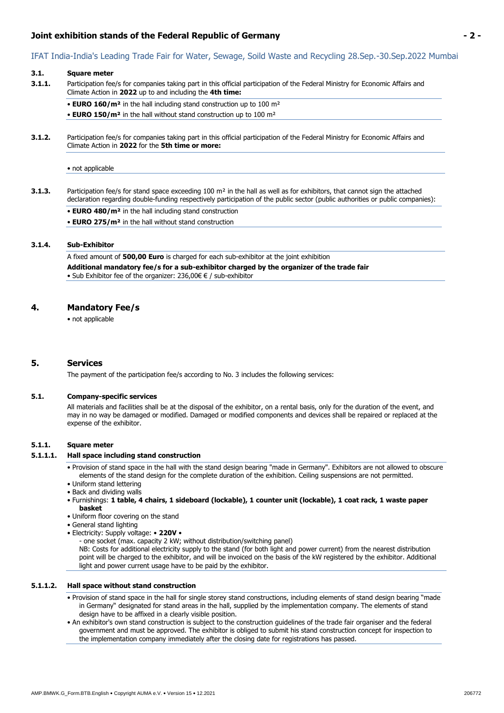## **Joint exhibition stands of the Federal Republic of Germany - 2 -**

#### **3.1. Square meter**

- **3.1.1.** Participation fee/s for companies taking part in this official participation of the Federal Ministry for Economic Affairs and Climate Action in **2022** up to and including the **4th time:**
	- **EURO 160/m²** in the hall including stand construction up to 100 m²
	- **EURO 150/m²** in the hall without stand construction up to 100 m²
- **3.1.2.** Participation fee/s for companies taking part in this official participation of the Federal Ministry for Economic Affairs and Climate Action in **2022** for the **5th time or more:**
	- not applicable
- **3.1.3.** Participation fee/s for stand space exceeding 100 m² in the hall as well as for exhibitors, that cannot sign the attached declaration regarding double-funding respectively participation of the public sector (public authorities or public companies):
	- **EURO 480/m²** in the hall including stand construction
	- **EURO 275/m²** in the hall without stand construction

## **3.1.4. Sub-Exhibitor**

A fixed amount of **500,00 Euro** is charged for each sub-exhibitor at the joint exhibition

**Additional mandatory fee/s for a sub-exhibitor charged by the organizer of the trade fair**  • Sub Exhibitor fee of the organizer: 236,00€ € / sub-exhibitor

## **4. Mandatory Fee/s**

• not applicable

## **5. Services**

The payment of the participation fee/s according to No. 3 includes the following services:

#### **5.1. Company-specific services**

All materials and facilities shall be at the disposal of the exhibitor, on a rental basis, only for the duration of the event, and may in no way be damaged or modified. Damaged or modified components and devices shall be repaired or replaced at the expense of the exhibitor.

#### **5.1.1. Square meter**

#### **5.1.1.1. Hall space including stand construction**

- Provision of stand space in the hall with the stand design bearing "made in Germany". Exhibitors are not allowed to obscure elements of the stand design for the complete duration of the exhibition. Ceiling suspensions are not permitted.
- Uniform stand lettering
- Back and dividing walls
- Furnishings: **1 table, 4 chairs, 1 sideboard (lockable), 1 counter unit (lockable), 1 coat rack, 1 waste paper basket**
- Uniform floor covering on the stand
- General stand lighting
- Electricity: Supply voltage: **220V** 
	- one socket (max. capacity 2 kW; without distribution/switching panel)

NB: Costs for additional electricity supply to the stand (for both light and power current) from the nearest distribution point will be charged to the exhibitor, and will be invoiced on the basis of the kW registered by the exhibitor. Additional light and power current usage have to be paid by the exhibitor.

#### **5.1.1.2. Hall space without stand construction**

- Provision of stand space in the hall for single storey stand constructions, including elements of stand design bearing "made in Germany" designated for stand areas in the hall, supplied by the implementation company. The elements of stand design have to be affixed in a clearly visible position.
- An exhibitor's own stand construction is subject to the construction guidelines of the trade fair organiser and the federal government and must be approved. The exhibitor is obliged to submit his stand construction concept for inspection to the implementation company immediately after the closing date for registrations has passed.